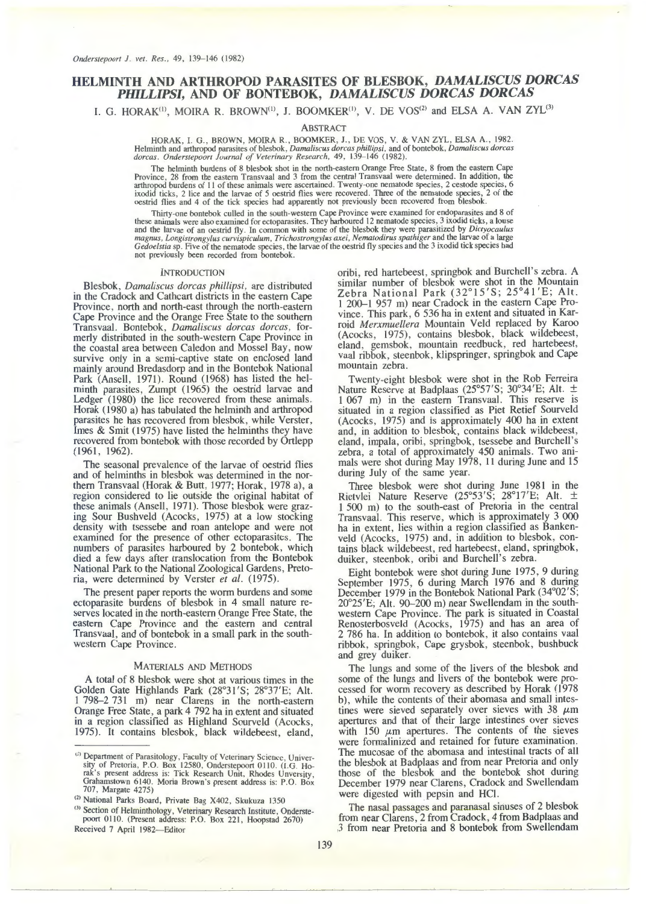# **HELMINTH AND ARTHROPOD PARASITES OF BLESBOK,** *DAMALISCUS DORCAS PHILLIPSI,* **AND OF BONTEBOK,** *DAMALISCUS DORCAS DORCAS*

I. G. HORAK<sup>(1)</sup>, MOIRA R. BROWN<sup>(1)</sup>, J. BOOMKER<sup>(1)</sup>, V. DE VOS<sup>(2)</sup> and ELSA A. VAN ZYL<sup>(3)</sup>

## ABSTRACT

HORAK, I. G., BROWN, MOIRA R., BOOMKER, J., DE VOS, V. & VAN ZYL, ELSA A., 1982.<br>Helminth and arthropod parasites of blesbok, *Damaliscus dorcas phillipsi*, and of bontebok, *Damaliscus dorcas*<br>dorcas. Onderstepoort Journa

The helminth burdens of 8 blesbok shot in the north-eastern Orange Free State, 8 from the eastern Cape Province, 28 from the eastern Transvaal and 3 from the central Transvaal were determined. In addition, the arthropod burdens of 11 of these animals were ascertained. Twenty-one nematode species, 2 cestode species, 6 ixodid ticks, 2 lice and the larvae of *5* oestrid flies were recovered. Three of the nematode species, 2 of the oestrid flies and 4 of the tick species had apparently not previously been recovered from blesbok.

Thirty-one bontebok culled in the south-western Cape Province were examined for endoparasites and 8 of these animals were also examined for ectoparasites. They harboured 12 nematode species, 3 ixodid ticks, a louse and the *Gedoelstia* sp. Five of the nematode species, the larvae of the oestrid fly species and the 3 ixodid tick species had not previously heen recorded from bontebok.

#### INTRODUCTION

Blesbok, *Damaliscus dorcas phillipsi,* are distributed in the Cradock and Cathcart districts in the eastern Cape Province, north and north-east through the north-eastern Cape Province and the Orange Free State to the southern Transvaal. Bontebok, *Damaliscus dorcas dorcas,* formerly distributed in the south-western Cape Province in the coastal area between Caledon and Mossel Bay, now survive only in a semi-captive state on enclosed land mainly around Bredasdorp and in the Bontebok National Park (Ansell, 1971). Round (1968) has listed the helminth parasites, Zumpt (1965) the oestrid larvae and Ledger (1980) the lice recovered from these animals. Horak (1980 a) has tabulated the helminth and arthropod parasites he has recovered from blesbok, while Verster, Imes  $& Smit (1975)$  have listed the helminths they have recovered from bontebok with those recorded by Ortlepp (1961, 1962).

The seasonal prevalence of the larvae of oestrid flies and of helminths in blesbok was determined in the northem Transvaal (Horak & Butt, 1977; Horak, 1978 a), a region considered to lie outside the original habitat of these animals (Ansell, 1971). Those blesbok were grazing Sour Bushveld (Acocks, 1975) at a low stocking density with tsessebe and roan antelope and were not examined for the presence of other ectoparasites. The numbers of parasites harboured by 2 bontebok, which died a few days after translocation from the Bontebok National Park to the National Zoological Gardens, Pretoria, were determined by Verster *et al.* (1975).

The present paper reports the worm burdens and some ectoparasite burdens of blesbok in 4 small nature reserves located in the north-eastern Orange Free State, the eastern Cape Province and the eastern and central Transvaal, and of bontebok in a small park in the southwestern Cape Province.

#### MATERIALS AND METHODS

A total of 8 blesbok were shot at various times in the Golden Gate Highlands Park (28°31 'S; 28°37'E; Alt. 1 798-2 731 m) near Clarens in the north-eastern Orange Free State, a park 4 792 ha in extent and situated in a region classified as Highland Sourveld (Acocks, 1975). It contains blesbok, black wildebeest, eland,

oribi, red hartebeest, springbok and Burchell's zebra. A similar number of blesbok were shot in the Mountain Zebra National Park  $(32^{\circ}15'S; 25^{\circ}41'E; Alt)$ . 1 200-1 957 m) near Cradock in the eastern Cape Province. This park, 6 536 ha in extent and situated in Karroid *Merxmuellera* Mountain Veld replaced by Karoo eland, gemsbok, mountain reedbuck, red hartebeest, vaal ribbok, steenbok, klipspringer, springbok and Cape mountain zebra.

Twenty-eight blesbok were shot in the Rob Ferreira Nature Reserve at Badplaas (25°57'S; 30°34'E; Alt. ± I 067 m) in the eastern Transvaal. This reserve is situated in a region classified as Piet Retief Sourveld (Acocks, 1975) and is approximately 400 ha in extent and, in addition to blesbok, contains black wildebeest, eland, impala, oribi, springbok, tsessebe and Burchell's zebra, a total of approximately 450 animals. Two animals were shot during May 1978, 11 during June and 15 during July of the same year.

Three blesbok were shot during June 1981 in the Rietvlei Nature Reserve (25°53'S; 28°l7'E; Alt. ± 1 500 m) to the south-east of Pretoria in the central Transvaal. This reserve, which is approximately 3 000 ha in extent, lies within a region classified as Bankenveld (Acocks, 1975) and, in addition to blesbok, contains black wildebeest, red hartebeest, eland, springbok, duiker, steenbok, oribi and Burchell's zebra.

Eight bontebok were shot during June 1975, 9 during September 1975, 6 during March 1976 and 8 during December 1979 in the Bontebok National Park (34°02'S; 20°25'E; Alt. 90-200 m) near Swellendam in the southwestern Cape Province. The park is situated in Coastal Renosterbosveld (Acocks, 1975) and has an area of 2 786 ha. In addition to bontebok, it also contains vaal ribbok, springbok, Cape grysbok, steenbok, bushbuck and grey duiker.

The lungs and some of the livers of the blesbok and some of the lungs and livers of the bontebok were processed for worm recovery as described by Horak ( 1978 b), while the contents of their abomasa and small intestines were sieved separately over sieves with 38  $\mu$ m apertures and that of their large intestines over sieves with 150  $\mu$ m apertures. The contents of the sieves were formalinized and retained for future examination. The mucosae of the abomasa and intestinal tracts of all the blesbok at Badplaas and from near Pretoria and only those of the blesbok and the bontebok shot during December 1979 near Clarens, Cradock and Swellendam were digested with pepsin and HCI.

The nasal passages and paranasal sinuses of 2 blesbok from near Clarens, 2 from Cradock, 4 from Badplaas and .3 from near Pretoria and 8 bontebok from Swellendam

<sup>(1)</sup> Department of Parasitology, Faculty of Veterinary Science, University of Pretoria, P.O. Box 12580, Onderstepoort 0110. (I.G. Horak's present address is: Tick Research Unit, Rhodes Unversity, Grahamstown 6140. Moria Brown's present address is: P.O. Box 707, Margate 4275)

<sup>&</sup>lt;sup>(2)</sup> National Parks Board, Private Bag X402, Skukuza 1350

<sup>&</sup>lt;sup>(3)</sup> Section of Helminthology, Veterinary Research Institute, Onderstepoort 0110. (Present address: P.O. Box 221, Hoopstad 2670) Received 7 April 1982-Editor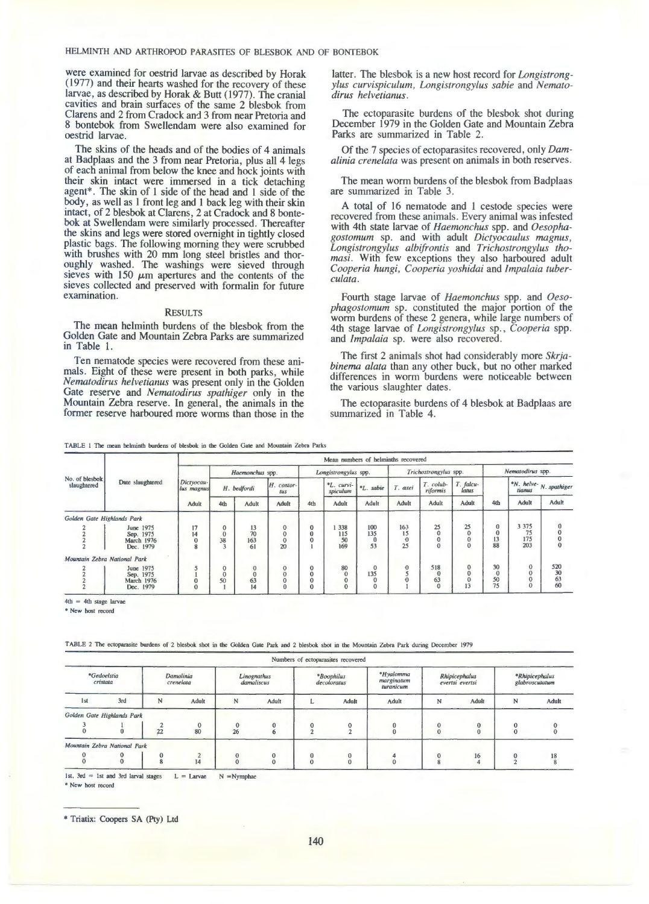were examined for oestrid larvae as described by Horak ( 1977) and their hearts washed for the recovery of these larvae, as described by Horak & Butt (1977). The cranial cavities and brain surfaces of the same 2 blesbok from Clarens and 2 from Cradock and 3 from near Pretoria and 8 bontebok from Swellendam were also examined for oestrid larvae.

The skins of the heads and of the bodies of 4 animals at Badplaas and the 3 from near Pretoria, plus all 4 legs of each animal from below the knee and hock joints with their skin intact were immersed in a tick detaching agent\*. The skin of 1 side of the head and 1 side of the body, as well as 1 front leg and 1 back leg with their skin intact, of 2 blesbok at Clarens, 2 at Cradock and 8 bontebok at Swellendam were similarly processed. Thereafter the skins and legs were stored overnight in tightly closed plastic bags. The following morning they were scrubbed with brushes with 20 mm long steel bristles and thoroughly washed. The washings were sieved through sieves with 150  $\mu$ m apertures and the contents of the sieves collected and preserved with formalin for future examination.

### RESULTS

The mean helminth burdens of the blesbok from the Golden Gate and Mountain Zebra Parks are summarized in Table 1.

Ten nematode species were recovered from these animals. Eight of these were present in both parks, while *Nematodirus helvetianus* was present only in the Golden Gate reserve and *Nematodirus spathiger* only in the Mountain Zebra reserve. In general, the animals in the former reserve harboured more worms than those in the

latter. The blesbok is a new host record for *Longistrongylus curvispiculum, Longistrongylus sabie* and *Nematodirus helvetianus.* 

The ectoparasite burdens of the blesbok shot during December 1979 in the Golden Gate and Mountain Zebra Parks are summarized in Table 2.

Of the 7 species of ectoparasites recovered, only *Damalinia crenelata* was present on animals in both reserves.

The mean worm burdens of the blesbok from Badplaas are summarized in Table 3.

A total of 16 nematode and I cestode species were recovered from these animals. Every animal was infested with 4th state larvae of *Haemonchus* spp. and *Oesophagostomum* sp. and with adult *Dictyocaulus magnus, Longistrongylus albifrontis* and *Trichostrongylus thomasi.* With few exceptions they also harboured adult *Cooperia hungi, Cooperia yoshidai* and *lmpalaia tuber- culata.* 

Fourth stage larvae of *Haemonchus* spp. and *Oeso- phagostomum* sp. constituted the major portion of the worm burdens of these 2 genera, while large numbers of 4th stage larvae of *Longistrongylus* sp., *Cooperia* spp. and *lmpalaia* sp. were also recovered.

The first 2 animals shot had considerably more *Skrjabinema alata* than any other buck, but no other marked differences in worm burdens were noticeable between the various slaughter dates.

The ectoparasite burdens of 4 blesbok at Badplaas are summarized in Table 4.

|  | TABLE 1 The mean helminth burdens of blesbok in the Golden Gate and Mountain Zebra Parks |
|--|------------------------------------------------------------------------------------------|
|--|------------------------------------------------------------------------------------------|

|                               |                                                          |                          |                                                 |                                         |                                                                       |                                                 | Mean numbers of helminths recovered |                                                   |                                                 |                        |                    |                                       |                                                               |                                                    |
|-------------------------------|----------------------------------------------------------|--------------------------|-------------------------------------------------|-----------------------------------------|-----------------------------------------------------------------------|-------------------------------------------------|-------------------------------------|---------------------------------------------------|-------------------------------------------------|------------------------|--------------------|---------------------------------------|---------------------------------------------------------------|----------------------------------------------------|
|                               |                                                          |                          |                                                 | Haemonchus spp.                         |                                                                       |                                                 | Longistrongylus spp.                |                                                   |                                                 | Trichostrongylus spp.  |                    | Nematodirus spp.                      |                                                               |                                                    |
| No. of blesbok<br>slaughtered | Date slaughtered                                         | Dictyocau-<br>lus magnus | $H.$ contor-<br>H. bedfordi<br>tus              |                                         |                                                                       | *L. curvi-<br>*L. sabie<br>spiculum             |                                     | T. axei                                           | T. colub-<br>riformis                           | T. falcu-<br>latus     |                    | $*N.$ helve- $N.$ spathiger<br>tianus |                                                               |                                                    |
|                               |                                                          | Adult                    | 4th                                             | Adult                                   | Adult                                                                 | 4th                                             | Adult                               | Adult                                             | Adult                                           | Adult                  | Adult              | 4th                                   | Adult                                                         | Adult                                              |
| Golden Gate Highlands Park    |                                                          |                          |                                                 |                                         |                                                                       |                                                 |                                     |                                                   |                                                 |                        |                    |                                       |                                                               |                                                    |
|                               | June 1975<br>Sep. 1975<br><b>March 1976</b><br>Dec. 1979 | 17<br>14<br>R            | $\mathbf 0$<br>$\theta$<br>38<br>$\overline{a}$ | $\frac{13}{70}$<br>163<br>61            | $\bf{0}$<br>$\mathbf 0$<br>$\mathbf 0$<br>20                          | $\bf{0}$<br>$\bf{0}$<br>$\mathbf 0$             | 338<br>115<br>50<br>169             | 100<br>135<br>$\bf{0}$<br>53                      | 163<br>15<br>$\ddot{\mathbf{0}}$<br>25          | 25<br>$\mathbf 0$<br>0 | 25<br>$\mathbf{0}$ | $\bf{0}$<br>$\bf{0}$<br>13<br>88      | 3 3 7 5<br>75<br>175<br>203                                   | $\bf{0}$<br>$\mathbf 0$<br>$\mathbf 0$<br>$\bf{0}$ |
| Mountain Zebra National Park  |                                                          |                          |                                                 |                                         |                                                                       |                                                 |                                     |                                                   |                                                 |                        |                    |                                       |                                                               |                                                    |
|                               | June 1975<br>Sep. 1975<br><b>March 1976</b><br>Dec. 1979 | $\Omega$                 | 0<br>$\mathbf 0$<br>50                          | $\mathbf{0}$<br>$\mathbf 0$<br>63<br>14 | $\begin{smallmatrix}0\\0\end{smallmatrix}$<br>$\mathbf 0$<br>$\bf{0}$ | 0<br>$\bf{0}$<br>$\overline{0}$<br>$\mathbf{0}$ | 80                                  | $\mathbf 0$<br>135<br>$\mathbf 0$<br>$\mathbf{0}$ | $\ddot{\mathbf{0}}$<br>5<br>$\ddot{\mathbf{0}}$ | 518<br>$\Omega$<br>63  | $\mathbf 0$        | 30<br>$\mathbf{0}$<br>50<br>75        | $\bf{0}$<br>$\bf{0}$<br>$\overline{0}$<br>$\ddot{\mathbf{0}}$ | $\frac{520}{30}$<br>$\frac{63}{60}$                |

4th = 4th stage larvae

• **New host record** 

| TABLE 2 The ectoparasite burdens of 2 blesbok shot in the Golden Gate Park and 2 blesbok shot in the Mountain Zebra Park during December 1979 |  |  |  |
|-----------------------------------------------------------------------------------------------------------------------------------------------|--|--|--|
|-----------------------------------------------------------------------------------------------------------------------------------------------|--|--|--|

| *Gedoelstia<br>cristata |                              | Damalinia<br>crenelata |                   | Linognathus<br>damaliscus |       | *Boophilus<br>decoloratus |               | *Hyalomma<br>marginatum<br>turanicum | Rhipicephalus<br>evertsi evertsi |       | *Rhipicephalus<br>glabroscutatum |         |
|-------------------------|------------------------------|------------------------|-------------------|---------------------------|-------|---------------------------|---------------|--------------------------------------|----------------------------------|-------|----------------------------------|---------|
| 1st                     | 3rd                          |                        | Adult             | N                         | Adult |                           | Adult         | Adult                                | N                                | Adult | N                                | Adult   |
|                         | Golden Gate Highlands Park   |                        |                   |                           |       |                           |               |                                      |                                  |       |                                  |         |
|                         |                              | 22                     | $\mathbf 0$<br>80 | 26                        | ٠     |                           | 0             | $\Omega$<br>$\bf{0}$                 |                                  |       |                                  |         |
|                         | Mountain Zebra National Park |                        |                   |                           |       |                           |               |                                      |                                  |       |                                  |         |
|                         |                              |                        | 14                |                           |       | $\bf{0}$                  | 0<br>$\bf{0}$ | $\mathbf{0}$                         |                                  | 16    | 0                                | 18<br>8 |

1st,  $3rd = 1$ st and  $3rd$  larval stages  $L =$  Larvae  $N =$ Nymphae

• **New host record** 

<sup>\*</sup> Triatix: Coopers SA (Pty) Ltd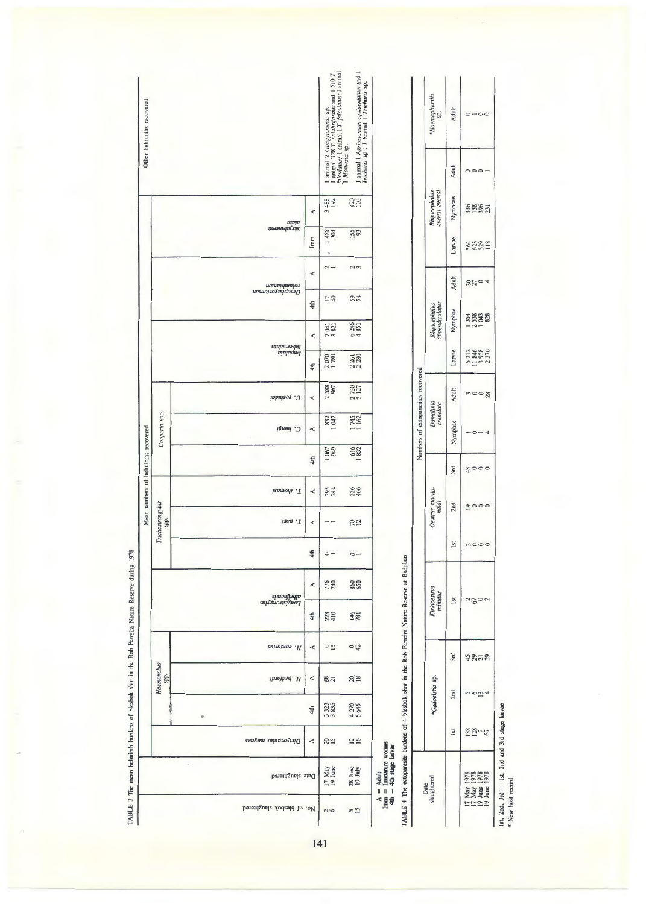| Other helminths recovered           |                          |                                 |          | 1 animal 2 <i>Gongylonema</i> sp.<br>1 animal 328 T. colubriformis and 1 510 T.<br>falculatus; 1 animal 1 T. falculatus; 1 animal | $\frac{1}{1}$ animal $1$ Agriostomum equidentatum and $\frac{1}{1}$ $\frac{1}{1}$ $\frac{1}{1}$ $\frac{1}{1}$ $\frac{1}{1}$ $\frac{1}{1}$ $\frac{1}{1}$ $\frac{1}{1}$ $\frac{1}{1}$ $\frac{1}{1}$ $\frac{1}{1}$ $\frac{1}{1}$ $\frac{1}{1}$ $\frac{1}{1}$ $\frac{1}{1}$ $\frac{1}{1}$ $\frac{1}{1}$<br>Moniezia sp. |                                                                                                                                                                                                                 |                                    | *Haemaphysalis<br>sp.            | Adult<br>Adult  | $0-00$<br>$\circ$ $\circ$ $\circ$                  |
|-------------------------------------|--------------------------|---------------------------------|----------|-----------------------------------------------------------------------------------------------------------------------------------|---------------------------------------------------------------------------------------------------------------------------------------------------------------------------------------------------------------------------------------------------------------------------------------------------------------------|-----------------------------------------------------------------------------------------------------------------------------------------------------------------------------------------------------------------|------------------------------------|----------------------------------|-----------------|----------------------------------------------------|
|                                     |                          |                                 | A        | 3488                                                                                                                              | 820                                                                                                                                                                                                                                                                                                                 |                                                                                                                                                                                                                 |                                    | Rhipicephalus<br>evertsi evertsi | Nymphae         | 3388                                               |
|                                     |                          | olata<br>Skrjabinema            | lmm      | <b>488</b><br>104<br>⊣<br>╲                                                                                                       | 155                                                                                                                                                                                                                                                                                                                 |                                                                                                                                                                                                                 |                                    |                                  | Larvae          | <b>332518</b>                                      |
|                                     |                          | columbianum<br>Oesophagostomum  | Ą        | $\sim$ $-$                                                                                                                        | $\frac{2}{3}$                                                                                                                                                                                                                                                                                                       |                                                                                                                                                                                                                 |                                    |                                  | Adult           | 3704                                               |
|                                     |                          |                                 | 4th      | 27<br>821                                                                                                                         | 54<br>246                                                                                                                                                                                                                                                                                                           |                                                                                                                                                                                                                 |                                    | Rhipicephalus<br>appendiculatus  | Nymphae         | 353<br>533<br>328<br>$\frac{1}{2}$                 |
|                                     |                          | tmpalaia<br>Impalaia            | A<br>4th | $\overline{r}$<br>2070                                                                                                            | $\frac{4}{5}$<br>261<br>22                                                                                                                                                                                                                                                                                          |                                                                                                                                                                                                                 |                                    |                                  | Larvae          | 6212<br>11846<br>23376                             |
|                                     |                          | C. yoshidai                     | A        | 588<br>967<br>2                                                                                                                   | 2 730<br>2 127                                                                                                                                                                                                                                                                                                      |                                                                                                                                                                                                                 |                                    |                                  | Adult           | $m = 8$                                            |
|                                     | Cooperia spp.            | C. hungi                        | Ą        | 832                                                                                                                               | 1745                                                                                                                                                                                                                                                                                                                |                                                                                                                                                                                                                 | Numbers of ectoparasites recovered | Damalinia<br>crenelata           | Nymphae         | $-0 - 4$                                           |
|                                     |                          |                                 | 4th      | 1067<br>790 1                                                                                                                     | 616                                                                                                                                                                                                                                                                                                                 |                                                                                                                                                                                                                 |                                    |                                  | 3rd             | 4000                                               |
| Mean numbers of helminths recovered |                          | T. thomasi                      | A        | 295<br>244                                                                                                                        | 336                                                                                                                                                                                                                                                                                                                 |                                                                                                                                                                                                                 |                                    | Oestrus macdo-<br>naldi          | 2nd             | $\sum_{i=1}^{n} a_i \cdot a_i = a_i$               |
|                                     | Trichostrongylus<br>spp. | T. axei                         | ∢        | $-$                                                                                                                               | 702                                                                                                                                                                                                                                                                                                                 |                                                                                                                                                                                                                 |                                    |                                  |                 |                                                    |
|                                     |                          |                                 | 4th      | $\circ$ -                                                                                                                         | $\circ$ $-$                                                                                                                                                                                                                                                                                                         |                                                                                                                                                                                                                 |                                    |                                  | $\overline{sl}$ | $\sim$ $\sim$ $\sim$                               |
|                                     |                          | albrifrontis<br>Longistrongylus | Ą        | 776<br>740                                                                                                                        | 860                                                                                                                                                                                                                                                                                                                 |                                                                                                                                                                                                                 |                                    | Kirkioestrus<br>minutus          | 1st             | $a_5$ 02                                           |
|                                     |                          |                                 | 4th      | 223                                                                                                                               | 146                                                                                                                                                                                                                                                                                                                 |                                                                                                                                                                                                                 |                                    |                                  |                 |                                                    |
|                                     |                          | R. comorius                     | Ą        | $\frac{0}{1}$                                                                                                                     | $\overline{a}$                                                                                                                                                                                                                                                                                                      |                                                                                                                                                                                                                 |                                    |                                  | 3rd             | 4828                                               |
|                                     | Haemonchus<br>spp.       | H. bedfordi                     | Ą        | $rac{28}{21}$                                                                                                                     | $20_{18}$                                                                                                                                                                                                                                                                                                           |                                                                                                                                                                                                                 |                                    | *Gedoelstia sp                   | 2nd             | n 10m <sub>4</sub>                                 |
|                                     |                          | $\psi$                          | 4th      | 323<br>3                                                                                                                          | 270<br>645<br>45                                                                                                                                                                                                                                                                                                    |                                                                                                                                                                                                                 |                                    |                                  |                 |                                                    |
|                                     |                          | рускуосаную тавинг              | A        | 29                                                                                                                                | 29                                                                                                                                                                                                                                                                                                                  |                                                                                                                                                                                                                 |                                    |                                  | Ist             | 138757                                             |
|                                     |                          | Date slaughtered                |          | May<br>June<br>$\frac{17}{19}$                                                                                                    | June<br>July<br>28.                                                                                                                                                                                                                                                                                                 | The ectoparasite burdens of 4 blesbok shot in the Rob Ferreira Nature Reserve at Badplaas<br>Adult<br>Immature worms<br>4th stage larvae<br>$\begin{array}{c} \textbf{0} & \textbf{0} & \textbf{0} \end{array}$ |                                    | Date<br>slaughtered              |                 | 1978<br>1978<br>1978<br>May<br>May<br>June<br>June |
|                                     |                          | No. of blesbok slaughtered      |          | $\sim$                                                                                                                            | $\frac{5}{2}$                                                                                                                                                                                                                                                                                                       | Imm<br>4th<br>⋖<br>4<br>TABLE                                                                                                                                                                                   |                                    |                                  |                 | 1192                                               |

17 June 1978<br>
19. June 1978<br>
1st, 2nd, 3rd = 1st, 2nd and 3rd stage larvae<br>
\* New host record  $1$ st,  $2$ nd,  $3$ rd = 1st,  $2$ nd and  $3$ rd stage Larvae

• **New host record**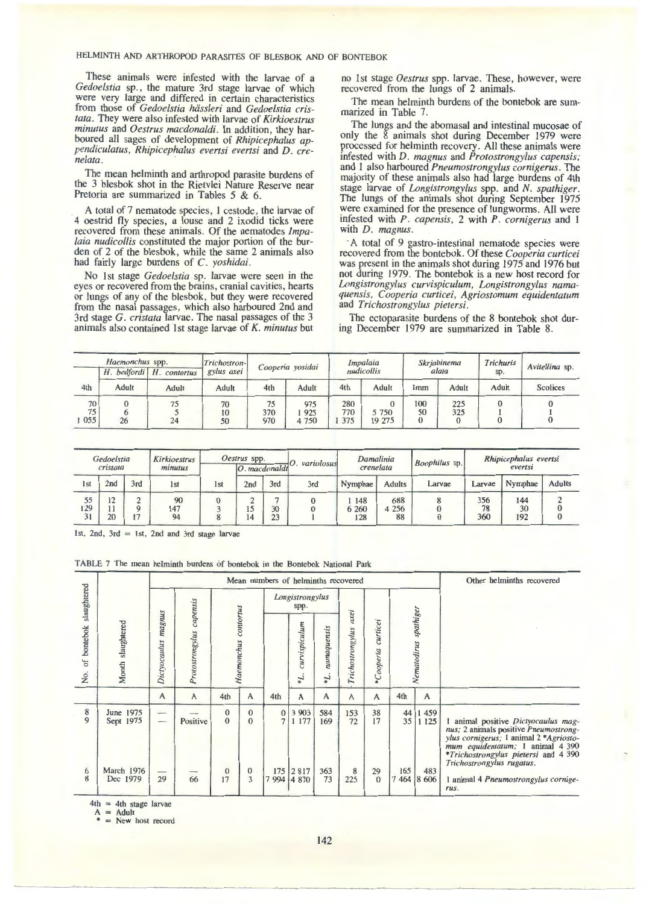These animals were infested with the larvae of a *Gedoelstia* sp., the mature 3rd stage larvae of which were very large and differed in certain characteristics from those of *Gedoelstia hiissleri* and *Gedoelstia cristata.* They were also infested with larvae of *Kirkioestrus minutus* and *Oestrus macdonaldi.* In addition, they harboured all sages of development of *Rhipicephalus appendiculatus, Rhipicephalus evertsi evertsi* and *D. cre- nelata.* ·

The mean helminth and arthropod parasite burdens of the 3 blesbok shot in the Rietvlei Nature Reserve near Pretoria are summarized in Tables 5 & 6.

A total of 7 nematode species, l cestode, the larvae of 4 oestrid fly species, a louse and 2 ixodid ticks were recovered from these animals. Of the nematodes *Impalaia nudicollis* constituted the major portion of the burden of 2 of the blesbok, while the same 2 animals also had fairly large burdens of C. *yoshidai.* 

No 1st stage *Gedoelstia* sp. larvae were seen in the eyes or recovered from the brains, cranial cavities, hearts or lungs of any of the blesbok, but they were recovered from the nasal passages, which also harboured 2nd and 3rd stage G. *cristata* larvae. The nasal passages of the 3 animals also contained lst stage larvae of *K. minutus* but

no lst stage *Oestrus* spp. larvae. These, however, were recovered from the lungs of 2 animals.

The mean helminth burdens of the bontebok are summarized in Table 7.

The lungs and the abomasal and intestinal mucosae of only the 8 animals shot during December 1979 were processed for helminth recovery. All these animals were infested with *D. magnus* and *Protostrongylus capensis;*  and l also harboured *Pneumostrongylus cornigerus.* The majority of these animals also had large burdens of 4th stage larvae of *Longistrongylus* spp. and *N. spathiger.*  The lungs of the animals shot during September 1975 were examined for the presence of lungworms. All were infested with *P. capensis,* 2 with *P. cornigerus* and l with *D. magnus.* 

·A total of 9 gastro-intestinal nematode species were recovered from the bontebok. Of these *Cooperia curticei*  was present in the animals shot during 1975 and 1976 but not during 1979. The bontebok is a new host record for *Longistrongylus curvispiculum, Longistrongylus namaquensis, Cooperia curticei, Agriostomum equidentatum*  and *Trichostrongylus pietersi.* 

The ectoparasite burdens of the 8 bontebok shot during December 1979 are summarized in Table 8.

|         | Haemonchus spp.<br>H. bedfordi H. contortus |              | Trichostron- |     | Cooperia yosidai |     | Impalaia   |          | Skrjabinema | Trichuris | Avitellina sp.  |
|---------|---------------------------------------------|--------------|--------------|-----|------------------|-----|------------|----------|-------------|-----------|-----------------|
|         |                                             |              | gylus axei   |     |                  |     | nudicollis |          | alata       | sp.       |                 |
| 4th     | Adult                                       | <b>Adult</b> | Adult        | 4th | Adult            | 4th | Adult      | Imm      | Adult       | Adult     | <b>Scolices</b> |
| 70      |                                             | 75           | 70           | 75  | 975              | 280 |            | 100      | 225         |           |                 |
| 75      |                                             |              | 10           | 370 | 925              | 770 | 5 7 5 0    | 50       | 325         |           |                 |
| 1 0 5 5 | 26                                          | 24           | 50           | 970 | 4 7 5 0          | 375 | 19 27 5    | $\theta$ |             |           |                 |

|                 | Gedoelstia<br>cristata   |     | Kirkioestrus<br>minutus |                 | Oestrus spp.<br>$ O$ . macdonaldi |          | variolosus | Damalinia<br>crenelata |                      | Boophilus sp. |                  | Rhipicephalus evertsi<br>evertsi |               |
|-----------------|--------------------------|-----|-------------------------|-----------------|-----------------------------------|----------|------------|------------------------|----------------------|---------------|------------------|----------------------------------|---------------|
| 1 <sub>st</sub> | 2nd                      | 3rd | 1 <sub>st</sub>         | 1 <sub>st</sub> | 2nd                               | 3rd      | 3rd        | Nymphae                | <b>Adults</b>        | Larvae        | Larvae           | Nymphae                          | <b>Adults</b> |
| 55<br>129<br>31 | 12<br>$\sim$<br>11<br>20 | 17  | 90<br>147<br>94         |                 | 15<br>14                          | 30<br>23 |            | 148<br>6 260<br>128    | 688<br>4 2 5 6<br>88 |               | 356<br>78<br>360 | 144<br>30<br>192                 |               |

1st,  $2nd$ ,  $3rd = 1st$ ,  $2nd$  and  $3rd$  stage larvae

TABLE 7 The mean helminth burdens of bontebok in the Bontebok National Park

|                               |                        |                                      |                 |                      |                                | Mean numbers of helminths recovered |                                |                     |                          |                       |                |                       | Other helminths recovered                                                                                                                                                                                                         |
|-------------------------------|------------------------|--------------------------------------|-----------------|----------------------|--------------------------------|-------------------------------------|--------------------------------|---------------------|--------------------------|-----------------------|----------------|-----------------------|-----------------------------------------------------------------------------------------------------------------------------------------------------------------------------------------------------------------------------------|
| slaughtered                   |                        |                                      | capensis        |                      |                                |                                     | Longistrongylus<br>spp.        |                     |                          |                       |                |                       |                                                                                                                                                                                                                                   |
| bontebok<br>$\delta$ f<br>No. | slaughtered<br>Month : | magnus<br>Dictyocaulus               | Protostrongylus |                      | Haemonchus contortus           |                                     | curvispiculum<br>$\tau_{*}$    | namaquensis<br>$7*$ | axei<br>Trichostrongylus | curticei<br>*Cooperia |                | Nematodirus spathiger |                                                                                                                                                                                                                                   |
|                               |                        | $\mathsf{A}$                         | $\mathbf{A}$    | 4th                  | $\mathbf{A}$                   | 4th                                 | $\mathsf{A}$                   | $\mathsf{A}$        | $\mathsf{A}$             | $\mathsf{A}$          | 4th            | $\mathsf{A}$          |                                                                                                                                                                                                                                   |
| $\bf 8$<br>9                  | June 1975<br>Sept 1975 |                                      | Positive        | $\bf{0}$<br>$\theta$ | $\mathbf{0}$<br>$\overline{0}$ | $\mathbf{0}$<br>$\tau$              | 3 9 0 3<br>177<br>$\mathbf{1}$ | 584<br>169          | 153<br>72                | 38<br>17              | 44<br>35       | 1 4 5 9<br>1 1 2 5    | 1 animal positive Dictyocaulus magnus; 2 animals positive Pneumostrong-<br>ylus cornigerus; 1 animal 2 *Agriosto-<br>mum equidentatum; 1 animal 4 390<br><i>*Trichostrongylus pietersi</i> and 4 390<br>Trichostrongylus rugatus. |
| 6<br>8                        | March 1976<br>Dec 1979 | $\overbrace{\hspace{25mm}}^{}$<br>29 | 66              | $\bf{0}$<br>17       | $\bf{0}$<br>3                  |                                     | 175 2 817<br>994 4 870         | 363<br>73           | 8<br>225                 | 29<br>$\theta$        | 165<br>7 4 6 4 | 483<br>8 60 6         | 1 animal 4 Pneumostrongylus cornige-<br>rus.                                                                                                                                                                                      |

 $4th = 4th stage larvae$ 

 $=$  Adult

= New host record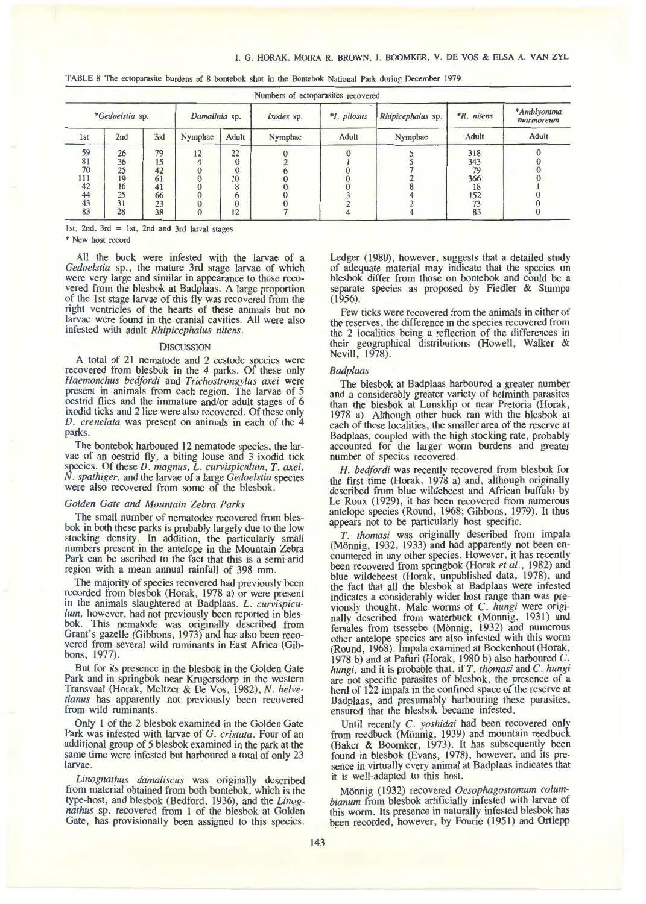|  | TABLE 8 The ectoparasite burdens of 8 bontebok shot in the Bontebok National Park during December 1979 |  |  |  |  |  |  |  |  |  |  |  |  |  |
|--|--------------------------------------------------------------------------------------------------------|--|--|--|--|--|--|--|--|--|--|--|--|--|
|--|--------------------------------------------------------------------------------------------------------|--|--|--|--|--|--|--|--|--|--|--|--|--|

| *Gedoelstia sp. |     |     | Damalinia sp. |       | Ixodes sp. | *I. pilosus | Rhipicephalus sp. | <i>*R. nitens</i> | *Amblyomma<br>marmoreum |
|-----------------|-----|-----|---------------|-------|------------|-------------|-------------------|-------------------|-------------------------|
| 1 <sub>st</sub> | 2nd | 3rd | Nymphae       | Adult | Nymphae    | Adult       | Nymphae           | <b>Adult</b>      | <b>Adult</b>            |
| 59              | 26  | 79  | 12            | 22    |            |             |                   | 318               |                         |
| 81              | 36  | 15  |               |       |            |             |                   | 343               |                         |
| 70              | 25  | 42  |               |       |            |             |                   | 79                |                         |
| 111             | 19  | 61  |               | 10    |            |             |                   | 366               |                         |
| 42              | 16  | 41  |               |       |            |             |                   |                   |                         |
| 44              | 25  | 66  |               |       |            |             |                   | 152               |                         |
| 43              | 31  | 23  |               |       |            |             |                   |                   |                         |
| 83              | 28  | 38  |               | 12    |            |             |                   | 83                |                         |

1st, 2nd, 3rd = 1st, 2nd and 3rd larval stages

\* New host record

All the buck were infested with the larvae of a *Gedoelstia* sp., the mature 3rd stage larvae of which were very large and similar in appearance to those recovered from the blesbok at Badplaas. A large proportion of the 1st stage larvae of this fly was recovered from the right ventricles of the hearts of these animals but no larvae were found in the cranial cavities. All were also infested with adult *Rhipicephalus nitens*.

### **DISCUSSION**

A total of 2I nematode and 2 cestode species were recovered from blesbok in the 4 parks. Of these only *Haemonchus bedfordi* and *Trichostrongylus a.xei* were present in animals from each region. The larvae of 5 oestrid flies and the immature and/or adult stages of 6 ixodid ticks and 2lice were also recovered. Of these only *D. crenelata* was present on animals in each of the 4 parks.

The bontebok harboured 12 nematode species, the larvae of an oestrid fly, a biting louse and 3 ixodid tick species. Of these *D. magnus, L. curvispiculum, T. axei, N. spathiger,* and the larvae of a large *Gedoelstia* species were also recovered from some of the blesbok.

### *Golden Gate and Mountain Zebra Parks*

The small number of nematodes recovered from blesbok in both these parks is probably largely due to the low stocking density. In addition, the particularly small numbers present in the antelope in the Mountain Zebra Park can be ascribed to the fact that this is a semi-arid region with a mean annual rainfall of 398 mm.

The majority of species recovered had previously been recorded from blesbok (Horak, I978 a) or were present in the animals slaughtered at Badplaas. *L. curvispiculum,* however, had not previously been reported in blesbok. This nematode was originally described from Grant's gazelle (Gibbons, 1973) and has also been recovered from several wild ruminants in East Africa (Gibbons, 1977).

But for its presence in the blesbok in the Golden Gate Park and in springbok near Krugersdorp in the western Transvaal (Horak, Meltzer & De Vos, 1982), *N. helvetianus* has apparently not previously been recovered from wild ruminants.

Only l of the 2 blesbok examined in the Golden Gate Park was infested with larvae of G. cristata. Four of an additional group of 5 blesbok examined in the park at the same time were infested but harboured a total of only 23 larvae.

*Linognathus damaliscus* was originally described from material obtained from both bontebok, which is the type-host, and blesbok (Bedford, I936), and the *Linognathus* sp. recovered from I of the blesbok at Golden Gate, has provisionally been assigned to this species. Ledger (1980), however, suggests that a detailed study of adequate material may indicate that the species on blesbok differ from those on bontebok and could be a separate species as proposed by Fiedler & Stampa  $(1956).$ 

Few ticks were recovered from the animals in either of the reserves, the difference in the species recovered from the 2 localities being a reflection of the differences in their geographical distributions (Howell, Walker & Nevill, 1978).

#### *Badplaas*

The blesbok at Badplaas harboured a greater number and a considerably greater variety of helminth parasites than the blesbok at Lunsklip or near Pretoria (Horak, I978 a). Although other buck ran with the blesbok at each of those localities, the smaller area of the reserve at Badplaas, coupled with the high stocking rate, probably accounted for the larger worm burdens and greater number of species recovered.

H. bedfordi was recently recovered from blesbok for the first time (Horak, 1978 a) and, although originally described from blue wildebeest and African buffalo by Le Roux (1929), it has been recovered from numerous antelope species (Round, 1968; Gibbons, 1979). It thus appears not to be particularly host specific.

*T. thomasi* was originally described from impala (Mönnig, 1932, 1933) and had apparently not been encountered in any other species. However, It has recently been recovered from springbok (Horak et al., 1982) and blue wildebeest (Horak, unpublished data, I978), and the fact that all the blesbok at Badplaas were infested indicates a considerably wider host range than was previously thought. Male worms of C. hungi were originally described from waterbuck (Mönnig, 1931) and females from tsessebe (Mönnig, 1932) and numerous other antelope species are also infested with this worm (Round, I968). Impala examined at Boekenhout (Horak, I978 b) and at Pafuri (Horak, I980 b) also harboured C. *hungi,* and it is probable that, if *T. thomasi* and *C. hungi*  are not specific parasites of blesbok, the presence of a herd of I22 impala in the confined space of the reserve at Badplaas, and presumably harbouring these parasites, ensured that the blesbok became infested.

Until recently *C. yoshidai* had been recovered only from reedbuck (Mönnig, 1939) and mountain reedbuck (Baker & Boomker, 1973). It has subsequently been found in blesbok (Evans, 1978), however, and its presence in virtually every animal at Badplaas indicates that it is well-adapted to this host.

Mönnig (1932) recovered Oesophagostomum colum*bianum* from blesbok artificially mfested with larvae of this worm. Its presence in naturally infested blesbok has been recorded, however, by Fourie (1951) and Ortlepp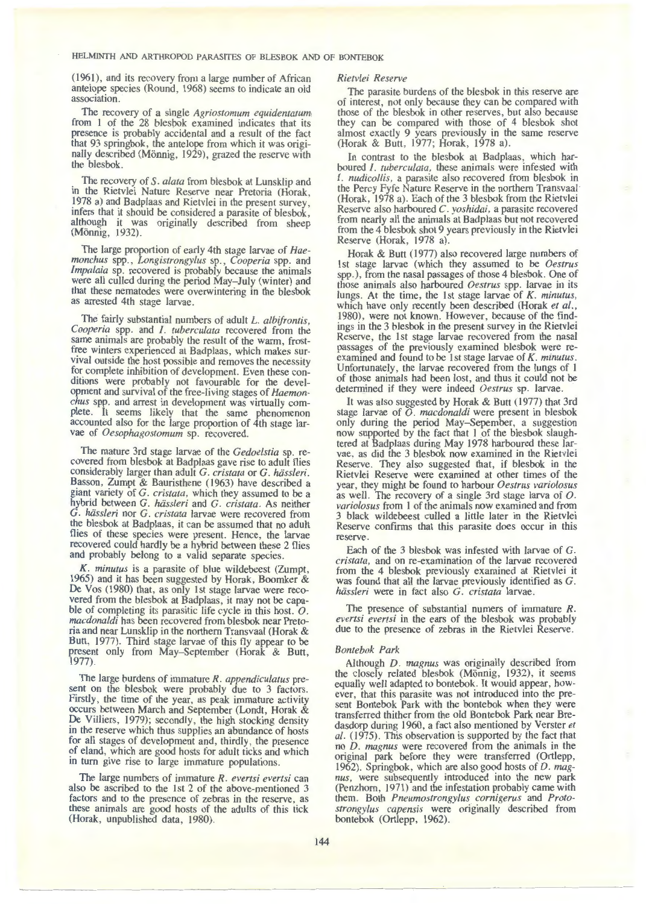(1961), and its recovery from a large number of African antelope species (Round, 1968) seems to indicate an old association.

The recovery of a single *Agriostomum equidentatum*  from I of the 28 blesbok examined indicates that its presence is probably accidental and a result of the fact that 93 springbok, the antelope from which it was originally described (Mönnig, 1929), grazed the reserve with the blesbok.

The recovery of *S. alata* from blesbok at Lunsklip and in the Rietvlei Nature Reserve near Pretoria (Horak, 1978 a) and Badplaas and Rietvlei in the present survey, infers that it should be considered a parasite of blesbok, although it was originally described from sheep (Mönnig, 1932).

The large proportion of early 4th stage larvae of *Haemonchus* spp., *Longistrongylus* sp., *Cooperia* spp. and *lmpalaia* sp. recovered is probably because the animals were all culled during the period May-July (winter) and that these nematodes were overwintering in the blesbok as arrested 4th stage larvae.

The fairly substantial numbers of adult *L. albifrontis, Cooperia* spp. and /. *tuberculata* recovered from the same animals are probably the result of the warm, frostfree winters experienced at Badplaas, which makes survival outside the host possible and removes the necessity for complete inhibition of development. Even these conditions were probably not favourable for the development and survival of the free-living stages of *Haemonchus* spp. and arrest in development was virtually complete. It seems likely that the same phenomenon accounted also for the large proportion of 4th stage larvae of *Oesophagostomum* sp. recovered.

The mature 3rd stage larvae of the *Gedoelstia* sp. recovered from blesbok at Badplaas gave rise to adult flies considerably larger than adult G. *cristata* or G. *hiissleri.*  Basson, Zumpt & Bauristhene (1963) have described a giant variety of G. *cristata,* which they assumed to be a hybrid between G. *hiissleri* and G. *cristata.* As neither G. *hiissleri* nor G. *cristata* larvae were recovered from the blesbok at Badplaas, it can be assumed that no adult flies of these species were present. Hence, the larvae recovered could hardly be a hybrid between these 2 flies and probably belong to a valid separate species.

K. *minutus* is a parasite of blue wildebeest (Zumpt, 1965) and it has been suggested by Horak, Boomker & De Vos (1980) that, as only 1st stage larvae were recovered from the blesbok at Badplaas, it may not be capable of completing its parasitic life cycle in this host. *<sup>0</sup> . macdonaldi* has been recovered from blesbok near Pretoria and near Lunsklip in the northern Transvaal (Horak & Butt, 1977). Third stage larvae of this fly appear to be present only from May-September (Horak & Butt, 1977).

The large burdens of immature *R. appendiculatus* present on the blesbok were probably due to 3 factors. Firstly, the time of the year, as peak immature activity occurs between March and September (Londt, Horak & De Villiers, 1979); secondly, the high stocking density in the reserve which thus supplies an abundance of hosts for all stages of development and, thirdly, the presence of eland, which are good hosts for adult ticks and which in tum give rise to large immature populations.

The large numbers of immature *R. evertsi evertsi* can also be ascribed to the 1st 2 of the above-mentioned 3 factors and to the presence of zebras in the reserve, as these animals are good hosts of the adults of this tick (Horak, unpublished data, 1980).

#### *Rietvlei Reserve*

The parasite burdens of the blesbok in this reserve are of interest, not only because they can be compared with those of the blesbok in other reserves, but also because they can be compared with those of 4 blesbok shot almost exactly 9 years previously in the same reserve (Horak & Butt, 1977; Horak, 1978 a).

In contrast to the blesbok at Badplaas, which harboured *I. tuberculata*, these animals were infested with *I. nudicollis,* a parasite also recovered from blesbok in the Percy Fyfe Nature Reserve in the northern Transvaal (Horak, 1978 a). Each of the 3 blesbok from the Rietvlei Reserve also harboured *C. yoshidai,* a parasite recovered from nearly all the animals at Badplaas but not recovered from the 4 blesbok shot 9 years previously in the Rietvlei Reserve (Horak, 1978 a).

Horak & Butt (1977) also recovered large numbers of 1st stage larvae (which they assumed to be *Oestrus*  spp.), from the nasal passages of those 4 blesbok. One of those animals also harboured *Oestrus* spp. larvae m 1ts lungs. At the time, the 1st stage larvae of K. *minutus,*  which have only recently been described (Horak *et al.,*  1980), were not known. However, because of the findings in the 3 blesbok in the present survey in the Rietvlei Reserve, the 1st stage larvae recovered from the nasal passages of the previously examined blesbok were reexamined and found to be 1st stage larvae of K. *minutus.*  Unfortunately, the larvae recovered from the lungs of 1 of those animals had been lost, and thus it could not be determined if they were indeed Oestrus sp. larvae.

It was also suggested by Horak & Butt ( 1977) that 3rd stage larvae of *0. macdonaldi* were present in blesbok only during the period May-Sepember, a suggestion now supported by the fact that 1 of the blesbok slaughtered at Badplaas during May 1978 harboured these larvae, as did the 3 blesbok now examined in the Rietvlei Reserve. They also suggested that, if blesbok in the Rietvlei Reserve were examined at other times of the year, they might be found to harbour *Oestrus variolosus*  as well. The recovery of a single 3rd stage larva of *0. variolosus* from 1 of the animals now examined and from 3 black wildebeest culled a little later in the Rietvlei Reserve confirms that this parasite does occur in this reserve.

Each of the 3 blesbok was infested with larvae of G. *cristata,* and on re-examination of the larvae recovered from the 4 blesbok previously examined at Rietvlei it was found that all the larvae previously identified as G. *hiissleri* were in fact also G. *cristata* larvae.

The presence of substantial numers of immature *R. evertsi evertsi* in the ears of the blesbok was probably due to the presence of zebras in the Rietvlei Reserve.

# *Bontebok Park*

Although D. magnus was originally described from the closely related blesbok (Mönnig, 1932), it seems equally well adapted to bontebok. It would appear, however, that this parasite was not introduced into the present Bontebok Park with the bontebok when they were transferred thither from the old Bontebok Park near Bredasdorp during 1960, a fact also mentioned by Verster *et al.* (1975). This observation is supported by the fact that no *D. magnus* were recovered from the animals in the original park before they were transferred (Ortlepp, 1962). Springbok, which are also good hosts of *D. magnus,* were subsequently introduced into the new park (Penzhom, 1971) and the infestation probably came with them. Both *Pneumostrongylus cornigerus* and *Protostrongylus capensis* were originally described from bontebok (Ortlepp, 1962).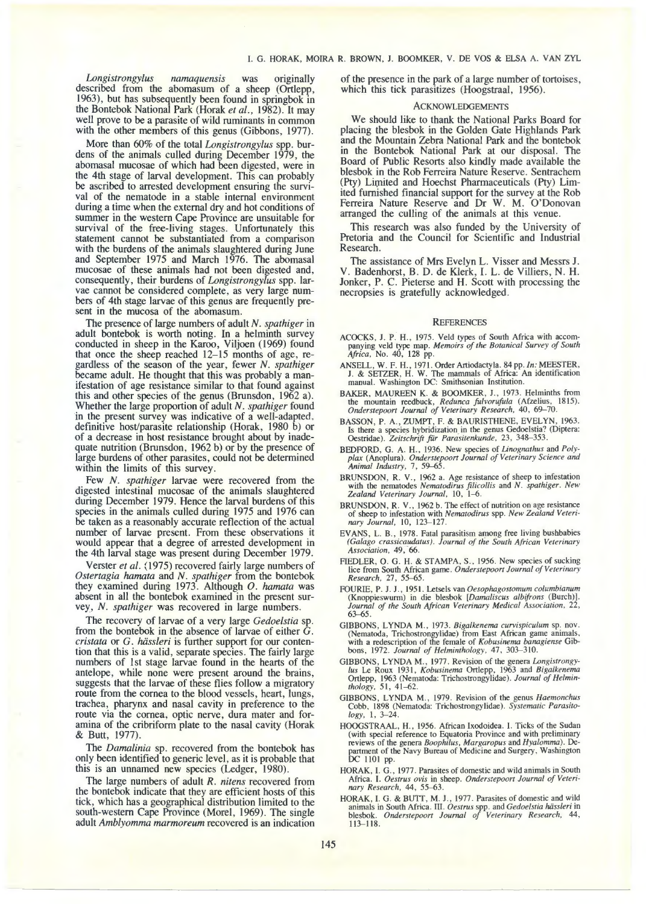*Longistrongylus namaquensis* was originally described from the abomasum of a sheep (Ortlepp, 1963), but has subsequently been found in springbok in the Bontebok National Park (Horak *et al.,* 1982). It may well prove to be a parasite of wild ruminants in common with the other members of this genus (Gibbons, 1977).

More than 60% of the total *Longistrongylus* spp. burdens of the animals culled during December 1979, the abomasal mucosae of which had been digested, were in the 4th stage of larval development. This can probably be ascribed to arrested development ensuring the survival of the nematode in a stable internal environment during a time when the external dry and hot conditions of summer in the western Cape Province are unsuitable for survival of the free-living stages. Unfortunately this statement cannot be substantiated from a comparison with the burdens of the animals slaughtered during June and September 1975 and March 1976. The abomasal mucosae of these animals had not been digested and, consequently, their burdens of *Longistrongylus* spp. larvae cannot be considered complete, as very large numbers of 4th stage larvae of this genus are frequently present in the mucosa of the abomasum.

The presence of large numbers of adult *N. spathiger* in adult bontebok is worth noting. In a helminth survey conducted in sheep in the Karoo, Viljoen (1969) found that once the sheep reached 12-15 months of age, regardless of the season of the year, fewer N. *spathiger*  became adult. He thought that this was probably a manifestation of age resistance similar to that found against this and other species of the genus (Brunsdon, 1962 a). Whether the large proportion of adult N. *spathiger* found in the present survey was indicative of a well-adapted, definitive host/parasite relationship (Horak, 1980 b) or of a decrease in host resistance brought about by inadequate nutrition (Brunsdon, 1962 b) or by the presence of large burdens of other parasites, could not be determined within the limits of this survey.

Few N. *spathiger* larvae were recovered from the digested intestinal mucosae of the animals slaughtered during December 1979. Hence the larval burdens of this species in the animals culled during 1975 and 1976 can be taken as a reasonably accurate reflection of the actual number of larvae present. From these observations it would appear that a degree of arrested development in the 4th larval stage was present during December 1979.

Verster *et al.* (1975) recovered fairly large numbers of *Ostertagia hamata* and *N. spathiger* from the bontebok they examined during 1973. Although *0. hamata* was absent in all the bontebok examined in the present survey, *N. spathiger* was recovered in large numbers.

The recovery of larvae of a very large *Gedoelstia* sp. from the bontebok in the absence of larvae of either G. *cristata* or G. *hiissleri* is further support for our contention that this is a valid, separate species. The fairly large numbers of 1st stage larvae found in the hearts of the antelope, while none were present around the brains, suggests that the larvae of these flies follow a migratory route from the cornea to the blood vessels, heart, lungs, trachea, pharynx and nasal cavity in preference to the route via the cornea, optic nerve, dura mater and foramina of the cribriform plate to the nasal cavity (Horak & Butt, 1977).

The *Damalinia* sp. recovered from the bontebok has only been identified to generic level, as it is probable that this is an unnamed new species (Ledger, 1980).

The large numbers of adult *R. nitens* recovered from the bontebok indicate that they are efficient hosts of this tick, which has a geographical distribution limited to the south-western Cape Province (Morel, 1969). The single adult *Amblyomma marmoreum* recovered is an indication of the presence in the park of a large number of tortoises, which this tick parasitizes (Hoogstraal, 1956).

#### **ACKNOWLEDGEMENTS**

We should like to thank the National Parks Board for placing the blesbok in the Golden Gate Highlands Park and the Mountain Zebra National Park and the bontebok in the Bontebok National Park at our disposal. The Board of Public Resorts also kindly made available the blesbok in the Rob Ferreira Nature Reserve. Sentrachem (Pty) Limited and Hoechst Pharmaceuticals (Pty) Limited furnished financial support for the survey at the Rob Ferreira Nature Reserve and Dr W. M. O'Donovan arranged the culling of the animals at this venue.

This research was also funded by the University of Pretoria and the Council for Scientific and Industrial Research.

The assistance of Mrs Evelyn L. Visser and Messrs J. V. Badenhorst, B. D. de Klerk, I. L. de Villiers, N. H. Jonker, P. C. Pieterse and H. Scott with processing the necropsies is gratefully acknowledged.

#### **REFERENCES**

- ACOCKS, J. P. H., 1975. Veld types of South Africa with accom-panying veld type map. *Memoirs of the Botanical Survey of South Africa,* No. 40, 128 pp.
- ANSELL, W. F. H., 1971. Order Artiodactyla. 84 pp. /n: MEESTER, J. & SETZER, H. W. The mammals of Africa: An identification manual. Washington DC: Smithsonian Institution.
- BAKER, MAUREEN K. & BOOMKER, J., 1973. Helminths from the mountain reedbuck, *Redunca fulvorufula* (Afzelius, 1815). *Onderstepoort Journal of Veterinary Research,* 40, 69--70.
- BASSON, P. A., ZUMPT, F. & BAURISTHENE, EVELYN, 1963. Is there a species hybridization in the genus Gedoelstia? (Diptera: Oestridae). *Zeitschrift für Parasitenkunde*, 23, 348-353.
- BEDFORD, G. A. H., 1936. New species of *Linognathus* and *Poly-p/ax* (Anoplura). *Onderstepoort Journal of Veterinary Science and Animal Industry,* 7, 59--65.
- BRUNSDON, R. V., 1962 a. Age resistance of sheep to infestation with the nematodes *Nematodirus filicollis* and *N. spathiger. New Zealand Veterinary Journal,* 10, 1-6.
- BRUNSDON, R. V., 1962 b. The effect of nutrition on age resistance of sheep to infestation with *Nematodirus* spp. *New Zealand Veterinary Journal,* 10, 123-127.
- EVANS, L. B., 1978. Fatal parasitism among free living bushbabies (Galago crassicaudatus). Journal of the South African Veterinary *Association, 49, 66.*
- FIEDLER, O. G. H. & STAMPA, S., 1956. New species of sucking lice from South African game. *Onderstepoort Journal of Veterinary Research,* 27, 55-65.
- FOURIE, P. J. J., 1951. Letsels van *Oesophagostomum co/umbianum*  (Knoppieswurm) in die blesbok *[Damaliscus a/bifrons* (Burch)]. *Journal of the South African Veterinary Medical Association,* 22, 63-65.
- GIBBONS, LYNDA M., 1973. Bigalkenema curvispiculum sp. nov. (Nematoda, Trichostrongylidae) from East African game animals, with a redescription of the female of *Kobusinema banagiense* Gib-bons, 1972. *Journal of Helminthology,* 47, 303-310.
- GIBBONS, LYNDA M., 1977. Revision of the genera *Longistrongylus* Le Roux 1931, *Kobusinema* Ortlepp, 1963 and *Biga/kenema*  Ortlepp, 1963 (Nematoda: Trichostrongylidae). *Journal of Helmin-thology,* 51, 41-62.
- GIBBONS, LYNDA M. , 1979. Revision of the genus *Haemonchus*  Cobb, 1898 (Nematoda: Trichostrongylidae). *Systematic Parasito-logy,* I, 3-24.
- HOOGSTRAAL, H., 1956. African Ixodoidea. I. Ticks of the Sudan (with special reference to Equatoria Province and with preliminary reviews of the genera *Boophilus, Margaropus* and *Hyalomma).* Department of the Navy Bureau of Medicine and Surgery, Washington DC 1101 pp.
- HORAK, I. G. , 1977. Parasites of domestic and wild animals in South Africa. I. *Oestrus ovis* in sheep. *Onders:epoort Journal of Veterinary Research,* 44, 55-63.
- HORAK, I. G. & BUTT, M. J., 1977. Parasites of domestic and wild animals in South Africa. III. *Oestrus* spp. and *Gedoelstia hässleri* in blesbok. *Onderstepoort Journal of Veterinary Research*, 44, 113-118.